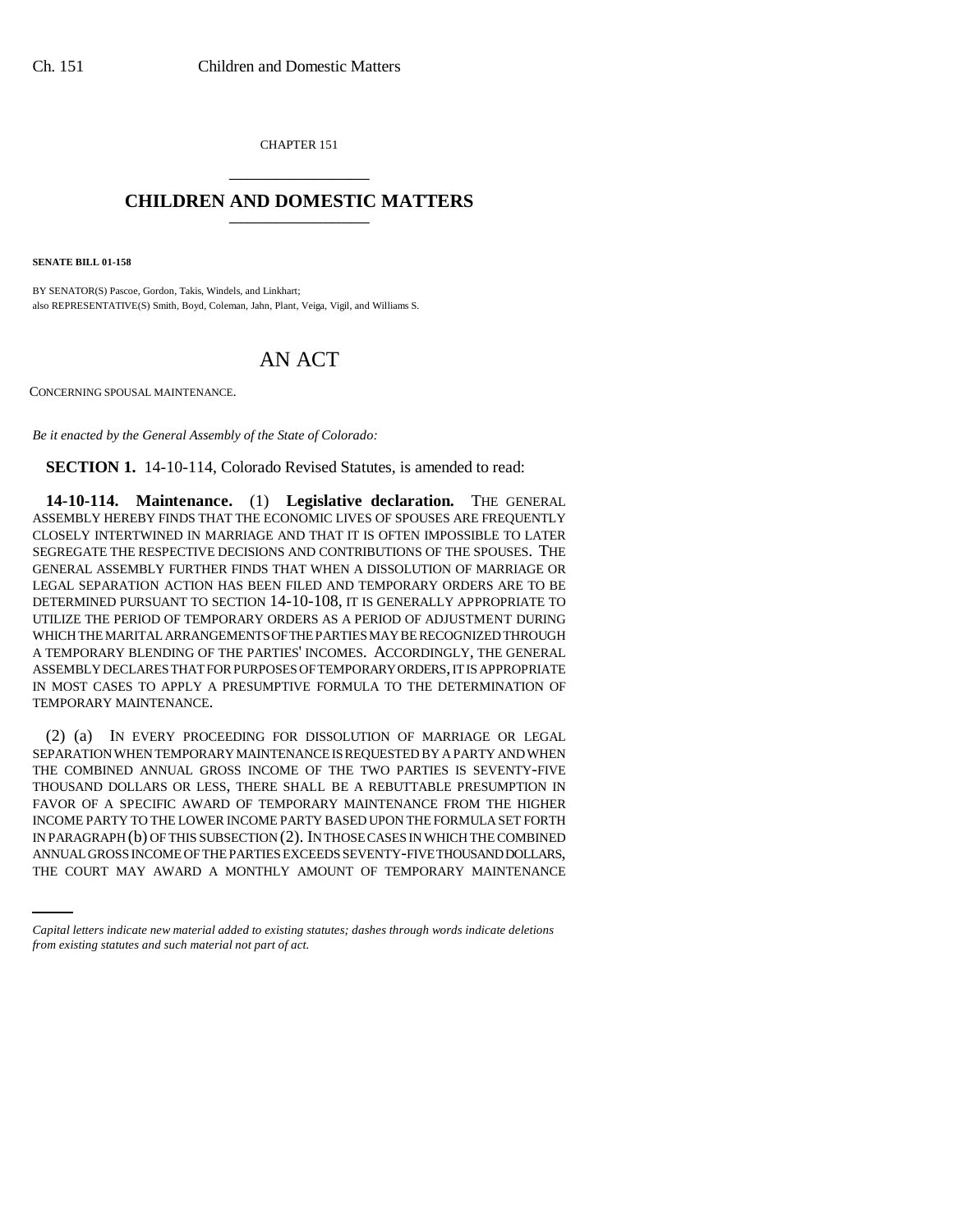CHAPTER 151 \_\_\_\_\_\_\_\_\_\_\_\_\_\_\_

## **CHILDREN AND DOMESTIC MATTERS** \_\_\_\_\_\_\_\_\_\_\_\_\_\_\_

**SENATE BILL 01-158**

BY SENATOR(S) Pascoe, Gordon, Takis, Windels, and Linkhart; also REPRESENTATIVE(S) Smith, Boyd, Coleman, Jahn, Plant, Veiga, Vigil, and Williams S.

## AN ACT

CONCERNING SPOUSAL MAINTENANCE.

*Be it enacted by the General Assembly of the State of Colorado:*

**SECTION 1.** 14-10-114, Colorado Revised Statutes, is amended to read:

**14-10-114. Maintenance.** (1) **Legislative declaration.** THE GENERAL ASSEMBLY HEREBY FINDS THAT THE ECONOMIC LIVES OF SPOUSES ARE FREQUENTLY CLOSELY INTERTWINED IN MARRIAGE AND THAT IT IS OFTEN IMPOSSIBLE TO LATER SEGREGATE THE RESPECTIVE DECISIONS AND CONTRIBUTIONS OF THE SPOUSES. THE GENERAL ASSEMBLY FURTHER FINDS THAT WHEN A DISSOLUTION OF MARRIAGE OR LEGAL SEPARATION ACTION HAS BEEN FILED AND TEMPORARY ORDERS ARE TO BE DETERMINED PURSUANT TO SECTION 14-10-108, IT IS GENERALLY APPROPRIATE TO UTILIZE THE PERIOD OF TEMPORARY ORDERS AS A PERIOD OF ADJUSTMENT DURING WHICH THE MARITAL ARRANGEMENTS OF THE PARTIES MAY BE RECOGNIZED THROUGH A TEMPORARY BLENDING OF THE PARTIES' INCOMES. ACCORDINGLY, THE GENERAL ASSEMBLY DECLARES THAT FOR PURPOSES OF TEMPORARY ORDERS, IT IS APPROPRIATE IN MOST CASES TO APPLY A PRESUMPTIVE FORMULA TO THE DETERMINATION OF TEMPORARY MAINTENANCE.

IN PARAGRAPH (b) OF THIS SUBSECTION (2). IN THOSE CASES IN WHICH THE COMBINED (2) (a) IN EVERY PROCEEDING FOR DISSOLUTION OF MARRIAGE OR LEGAL SEPARATION WHEN TEMPORARY MAINTENANCE IS REQUESTED BY A PARTY AND WHEN THE COMBINED ANNUAL GROSS INCOME OF THE TWO PARTIES IS SEVENTY-FIVE THOUSAND DOLLARS OR LESS, THERE SHALL BE A REBUTTABLE PRESUMPTION IN FAVOR OF A SPECIFIC AWARD OF TEMPORARY MAINTENANCE FROM THE HIGHER INCOME PARTY TO THE LOWER INCOME PARTY BASED UPON THE FORMULA SET FORTH ANNUAL GROSS INCOME OF THE PARTIES EXCEEDS SEVENTY-FIVE THOUSAND DOLLARS, THE COURT MAY AWARD A MONTHLY AMOUNT OF TEMPORARY MAINTENANCE

*Capital letters indicate new material added to existing statutes; dashes through words indicate deletions from existing statutes and such material not part of act.*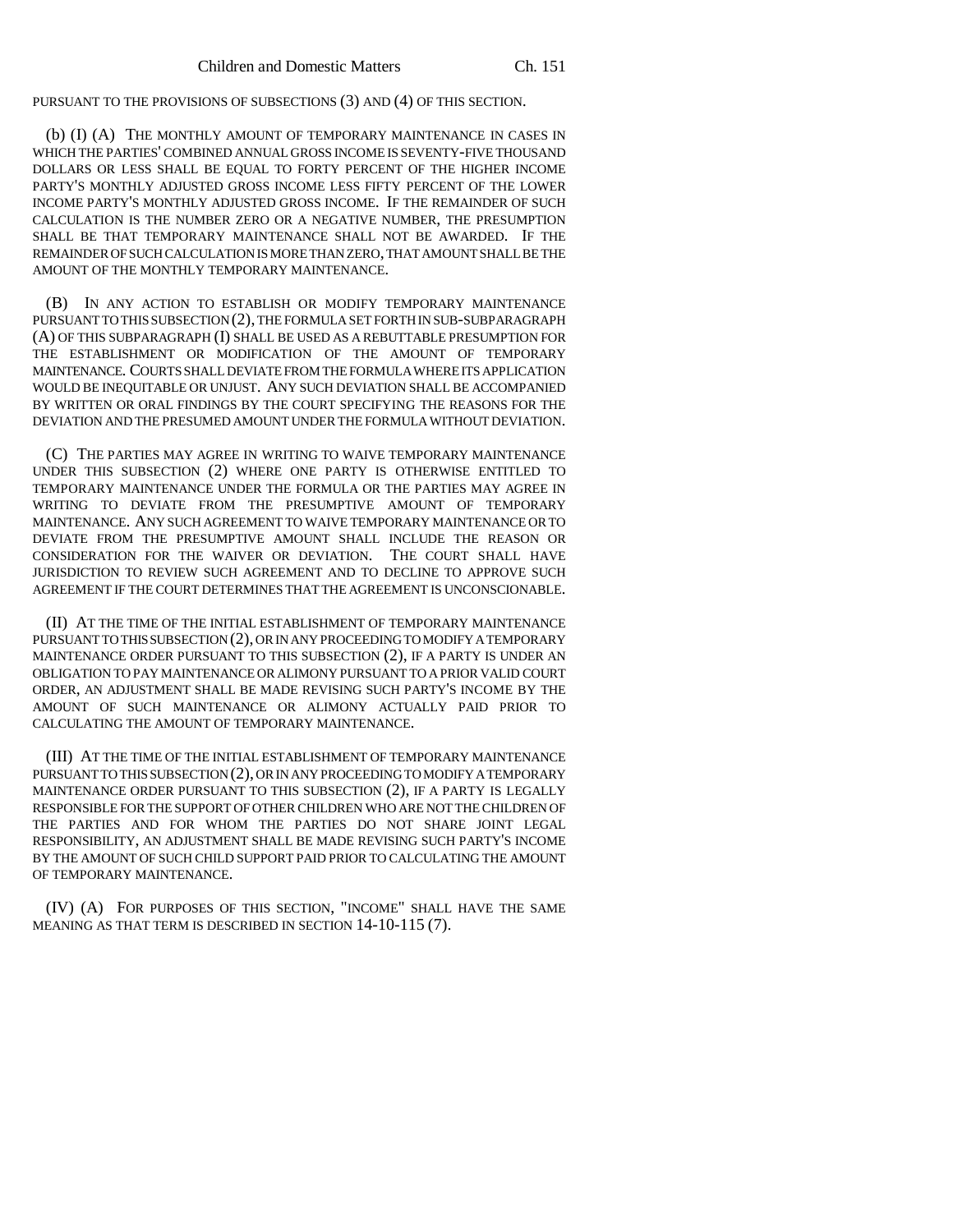PURSUANT TO THE PROVISIONS OF SUBSECTIONS (3) AND (4) OF THIS SECTION.

(b) (I) (A) THE MONTHLY AMOUNT OF TEMPORARY MAINTENANCE IN CASES IN WHICH THE PARTIES' COMBINED ANNUAL GROSS INCOME IS SEVENTY-FIVE THOUSAND DOLLARS OR LESS SHALL BE EQUAL TO FORTY PERCENT OF THE HIGHER INCOME PARTY'S MONTHLY ADJUSTED GROSS INCOME LESS FIFTY PERCENT OF THE LOWER INCOME PARTY'S MONTHLY ADJUSTED GROSS INCOME. IF THE REMAINDER OF SUCH CALCULATION IS THE NUMBER ZERO OR A NEGATIVE NUMBER, THE PRESUMPTION SHALL BE THAT TEMPORARY MAINTENANCE SHALL NOT BE AWARDED. IF THE REMAINDER OF SUCH CALCULATION IS MORE THAN ZERO, THAT AMOUNT SHALL BE THE AMOUNT OF THE MONTHLY TEMPORARY MAINTENANCE.

(B) IN ANY ACTION TO ESTABLISH OR MODIFY TEMPORARY MAINTENANCE PURSUANT TO THIS SUBSECTION (2), THE FORMULA SET FORTH IN SUB-SUBPARAGRAPH (A) OF THIS SUBPARAGRAPH (I) SHALL BE USED AS A REBUTTABLE PRESUMPTION FOR THE ESTABLISHMENT OR MODIFICATION OF THE AMOUNT OF TEMPORARY MAINTENANCE. COURTS SHALL DEVIATE FROM THE FORMULA WHERE ITS APPLICATION WOULD BE INEQUITABLE OR UNJUST. ANY SUCH DEVIATION SHALL BE ACCOMPANIED BY WRITTEN OR ORAL FINDINGS BY THE COURT SPECIFYING THE REASONS FOR THE DEVIATION AND THE PRESUMED AMOUNT UNDER THE FORMULA WITHOUT DEVIATION.

(C) THE PARTIES MAY AGREE IN WRITING TO WAIVE TEMPORARY MAINTENANCE UNDER THIS SUBSECTION (2) WHERE ONE PARTY IS OTHERWISE ENTITLED TO TEMPORARY MAINTENANCE UNDER THE FORMULA OR THE PARTIES MAY AGREE IN WRITING TO DEVIATE FROM THE PRESUMPTIVE AMOUNT OF TEMPORARY MAINTENANCE. ANY SUCH AGREEMENT TO WAIVE TEMPORARY MAINTENANCE OR TO DEVIATE FROM THE PRESUMPTIVE AMOUNT SHALL INCLUDE THE REASON OR CONSIDERATION FOR THE WAIVER OR DEVIATION. THE COURT SHALL HAVE JURISDICTION TO REVIEW SUCH AGREEMENT AND TO DECLINE TO APPROVE SUCH AGREEMENT IF THE COURT DETERMINES THAT THE AGREEMENT IS UNCONSCIONABLE.

(II) AT THE TIME OF THE INITIAL ESTABLISHMENT OF TEMPORARY MAINTENANCE PURSUANT TO THIS SUBSECTION (2), OR IN ANY PROCEEDING TO MODIFY A TEMPORARY MAINTENANCE ORDER PURSUANT TO THIS SUBSECTION (2), IF A PARTY IS UNDER AN OBLIGATION TO PAY MAINTENANCE OR ALIMONY PURSUANT TO A PRIOR VALID COURT ORDER, AN ADJUSTMENT SHALL BE MADE REVISING SUCH PARTY'S INCOME BY THE AMOUNT OF SUCH MAINTENANCE OR ALIMONY ACTUALLY PAID PRIOR TO CALCULATING THE AMOUNT OF TEMPORARY MAINTENANCE.

(III) AT THE TIME OF THE INITIAL ESTABLISHMENT OF TEMPORARY MAINTENANCE PURSUANT TO THIS SUBSECTION (2), OR IN ANY PROCEEDING TO MODIFY A TEMPORARY MAINTENANCE ORDER PURSUANT TO THIS SUBSECTION (2), IF A PARTY IS LEGALLY RESPONSIBLE FOR THE SUPPORT OF OTHER CHILDREN WHO ARE NOT THE CHILDREN OF THE PARTIES AND FOR WHOM THE PARTIES DO NOT SHARE JOINT LEGAL RESPONSIBILITY, AN ADJUSTMENT SHALL BE MADE REVISING SUCH PARTY'S INCOME BY THE AMOUNT OF SUCH CHILD SUPPORT PAID PRIOR TO CALCULATING THE AMOUNT OF TEMPORARY MAINTENANCE.

(IV) (A) FOR PURPOSES OF THIS SECTION, "INCOME" SHALL HAVE THE SAME MEANING AS THAT TERM IS DESCRIBED IN SECTION 14-10-115 (7).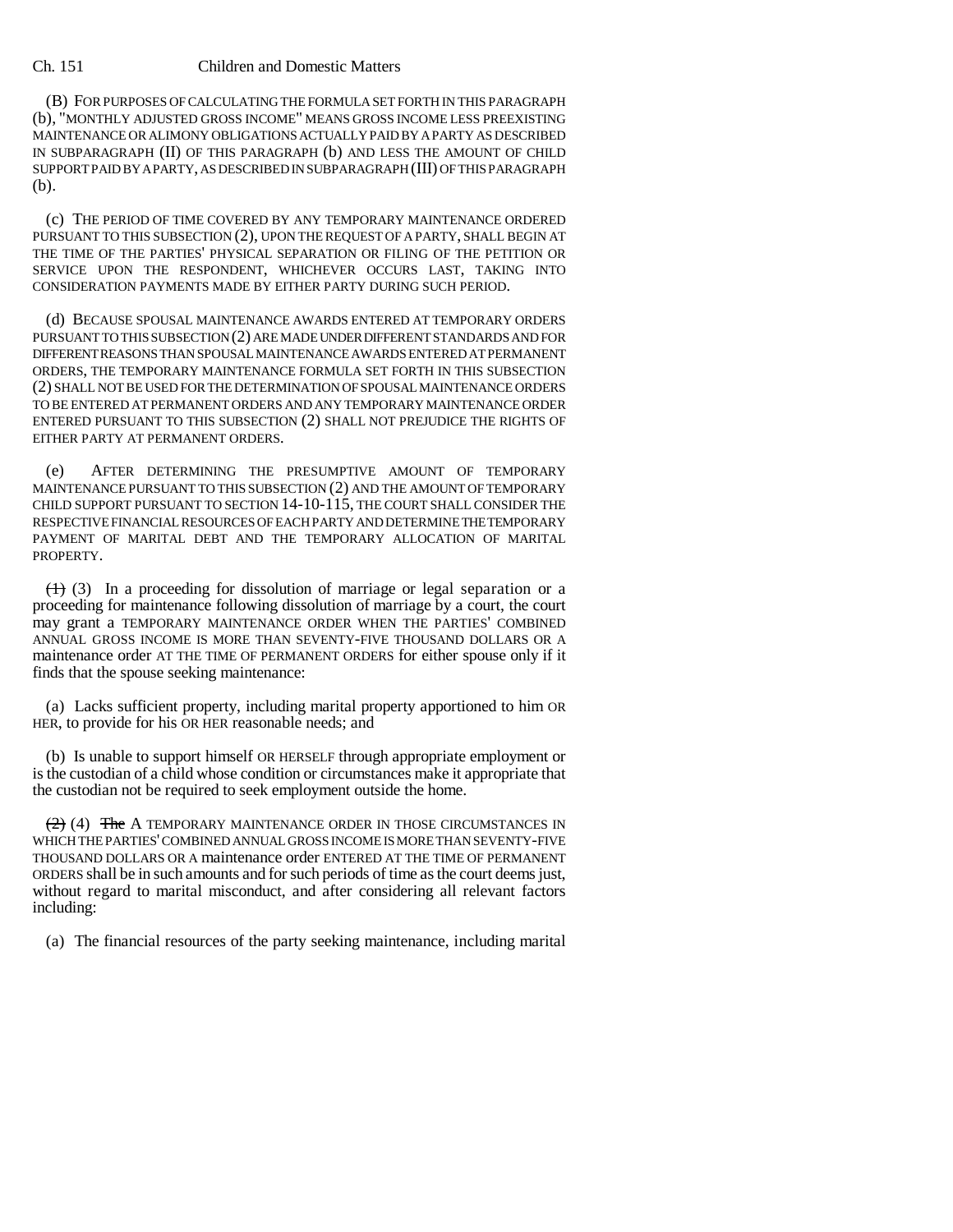## Ch. 151 Children and Domestic Matters

(B) FOR PURPOSES OF CALCULATING THE FORMULA SET FORTH IN THIS PARAGRAPH (b), "MONTHLY ADJUSTED GROSS INCOME" MEANS GROSS INCOME LESS PREEXISTING MAINTENANCE OR ALIMONY OBLIGATIONS ACTUALLY PAID BY A PARTY AS DESCRIBED IN SUBPARAGRAPH (II) OF THIS PARAGRAPH (b) AND LESS THE AMOUNT OF CHILD SUPPORT PAID BY A PARTY, AS DESCRIBED IN SUBPARAGRAPH (III) OF THIS PARAGRAPH (b).

(c) THE PERIOD OF TIME COVERED BY ANY TEMPORARY MAINTENANCE ORDERED PURSUANT TO THIS SUBSECTION (2), UPON THE REQUEST OF A PARTY, SHALL BEGIN AT THE TIME OF THE PARTIES' PHYSICAL SEPARATION OR FILING OF THE PETITION OR SERVICE UPON THE RESPONDENT, WHICHEVER OCCURS LAST, TAKING INTO CONSIDERATION PAYMENTS MADE BY EITHER PARTY DURING SUCH PERIOD.

(d) BECAUSE SPOUSAL MAINTENANCE AWARDS ENTERED AT TEMPORARY ORDERS PURSUANT TO THIS SUBSECTION (2) ARE MADE UNDER DIFFERENT STANDARDS AND FOR DIFFERENT REASONS THAN SPOUSAL MAINTENANCE AWARDS ENTERED AT PERMANENT ORDERS, THE TEMPORARY MAINTENANCE FORMULA SET FORTH IN THIS SUBSECTION (2) SHALL NOT BE USED FOR THE DETERMINATION OF SPOUSAL MAINTENANCE ORDERS TO BE ENTERED AT PERMANENT ORDERS AND ANY TEMPORARY MAINTENANCE ORDER ENTERED PURSUANT TO THIS SUBSECTION (2) SHALL NOT PREJUDICE THE RIGHTS OF EITHER PARTY AT PERMANENT ORDERS.

(e) AFTER DETERMINING THE PRESUMPTIVE AMOUNT OF TEMPORARY MAINTENANCE PURSUANT TO THIS SUBSECTION (2) AND THE AMOUNT OF TEMPORARY CHILD SUPPORT PURSUANT TO SECTION 14-10-115, THE COURT SHALL CONSIDER THE RESPECTIVE FINANCIAL RESOURCES OF EACH PARTY AND DETERMINE THE TEMPORARY PAYMENT OF MARITAL DEBT AND THE TEMPORARY ALLOCATION OF MARITAL PROPERTY.

 $(1)$  (3) In a proceeding for dissolution of marriage or legal separation or a proceeding for maintenance following dissolution of marriage by a court, the court may grant a TEMPORARY MAINTENANCE ORDER WHEN THE PARTIES' COMBINED ANNUAL GROSS INCOME IS MORE THAN SEVENTY-FIVE THOUSAND DOLLARS OR A maintenance order AT THE TIME OF PERMANENT ORDERS for either spouse only if it finds that the spouse seeking maintenance:

(a) Lacks sufficient property, including marital property apportioned to him OR HER, to provide for his OR HER reasonable needs; and

(b) Is unable to support himself OR HERSELF through appropriate employment or is the custodian of a child whose condition or circumstances make it appropriate that the custodian not be required to seek employment outside the home.

 $(2)$  (4) The A TEMPORARY MAINTENANCE ORDER IN THOSE CIRCUMSTANCES IN WHICH THE PARTIES' COMBINED ANNUAL GROSS INCOME IS MORE THAN SEVENTY-FIVE THOUSAND DOLLARS OR A maintenance order ENTERED AT THE TIME OF PERMANENT ORDERS shall be in such amounts and for such periods of time as the court deems just, without regard to marital misconduct, and after considering all relevant factors including:

(a) The financial resources of the party seeking maintenance, including marital